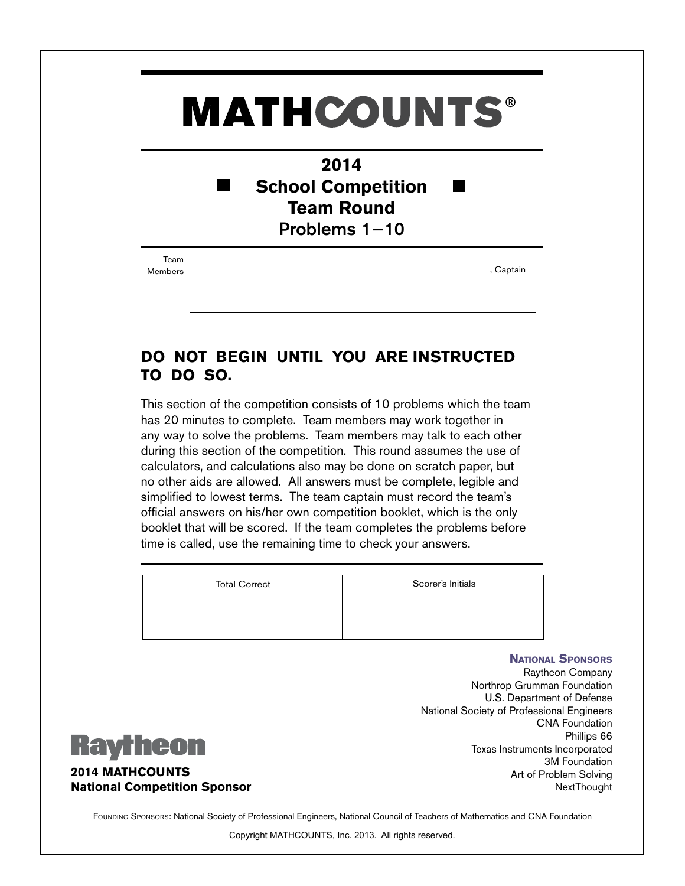## **MATHCOUNTS®**

| 2014                      |
|---------------------------|
| <b>School Competition</b> |
| <b>Team Round</b>         |
| Problems $1-10$           |

Team

Members , Captain

## **DO NOT BEGIN UNTIL YOU ARE INSTRUCTED TO DO SO.**

This section of the competition consists of 10 problems which the team has 20 minutes to complete. Team members may work together in any way to solve the problems. Team members may talk to each other during this section of the competition. This round assumes the use of calculators, and calculations also may be done on scratch paper, but no other aids are allowed. All answers must be complete, legible and simplified to lowest terms. The team captain must record the team's official answers on his/her own competition booklet, which is the only booklet that will be scored. If the team completes the problems before time is called, use the remaining time to check your answers.

| Scorer's Initials |
|-------------------|
|                   |
|                   |
|                   |

**National Sponsors**

Raytheon Company Northrop Grumman Foundation U.S. Department of Defense National Society of Professional Engineers CNA Foundation Phillips 66 Texas Instruments Incorporated 3M Foundation Art of Problem Solving NextThought



**2014 MATHCOUNTS National Competition Sponsor**

FOUNDING SPONSORS: National Society of Professional Engineers, National Council of Teachers of Mathematics and CNA Foundation

Copyright MATHCOUNTS, Inc. 2013. All rights reserved.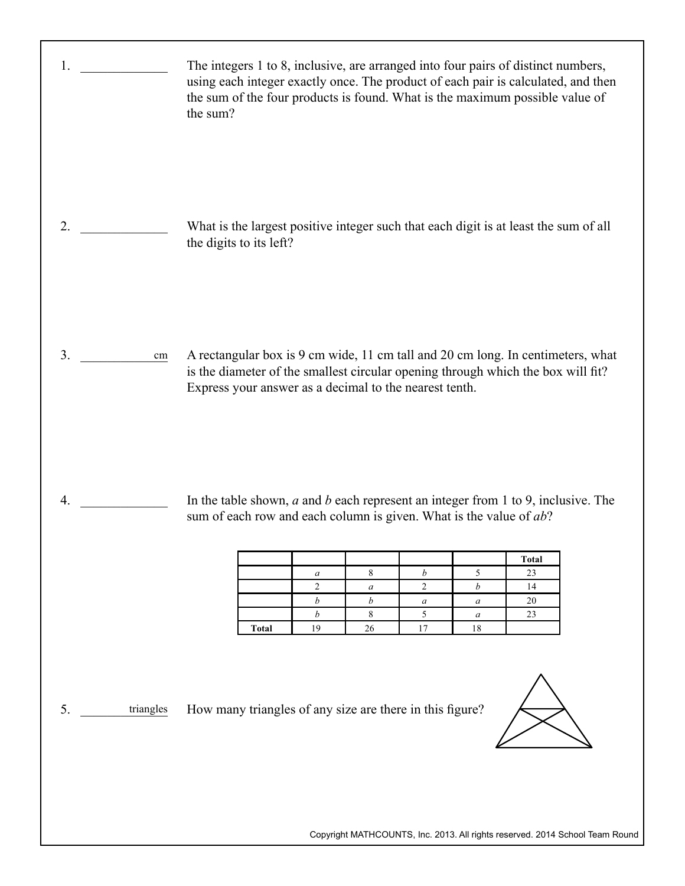| 1.               | The integers 1 to 8, inclusive, are arranged into four pairs of distinct numbers,<br>using each integer exactly once. The product of each pair is calculated, and then<br>the sum of the four products is found. What is the maximum possible value of<br>the sum?                                                                                                                                                                                                                                      |
|------------------|---------------------------------------------------------------------------------------------------------------------------------------------------------------------------------------------------------------------------------------------------------------------------------------------------------------------------------------------------------------------------------------------------------------------------------------------------------------------------------------------------------|
| 2.               | What is the largest positive integer such that each digit is at least the sum of all<br>the digits to its left?                                                                                                                                                                                                                                                                                                                                                                                         |
| 3.<br>$\,\rm cm$ | A rectangular box is 9 cm wide, 11 cm tall and 20 cm long. In centimeters, what<br>is the diameter of the smallest circular opening through which the box will fit?<br>Express your answer as a decimal to the nearest tenth.                                                                                                                                                                                                                                                                           |
| 4.               | In the table shown, $a$ and $b$ each represent an integer from 1 to 9, inclusive. The<br>sum of each row and each column is given. What is the value of $ab$ ?<br>Total<br>$\,8\,$<br>$\sqrt{5}$<br>$\boldsymbol{b}$<br>23<br>$\boldsymbol{a}$<br>$\overline{2}$<br>$\overline{c}$<br>$\boldsymbol{b}$<br>14<br>$\boldsymbol{a}$<br>$\boldsymbol{b}$<br>20<br>$\boldsymbol{b}$<br>$\boldsymbol{a}$<br>$\boldsymbol{a}$<br>5<br>8<br>23<br>b<br>$\boldsymbol{a}$<br>19<br>17<br><b>Total</b><br>26<br>18 |
| 5.<br>triangles  | How many triangles of any size are there in this figure?<br>Copyright MATHCOUNTS, Inc. 2013. All rights reserved. 2014 School Team Round                                                                                                                                                                                                                                                                                                                                                                |